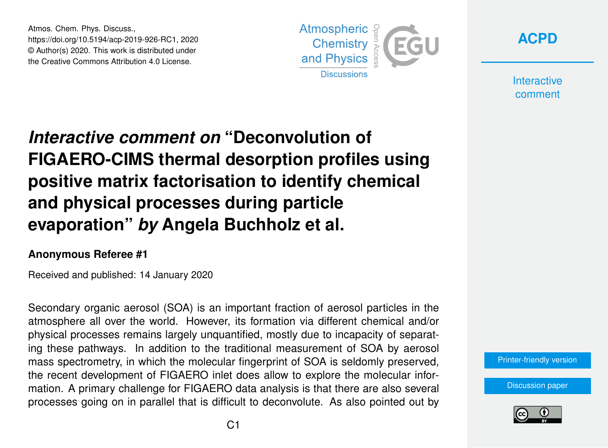Atmos. Chem. Phys. Discuss., https://doi.org/10.5194/acp-2019-926-RC1, 2020 © Author(s) 2020. This work is distributed under the Creative Commons Attribution 4.0 License.





**Interactive** comment

## *Interactive comment on* **"Deconvolution of FIGAERO-CIMS thermal desorption profiles using positive matrix factorisation to identify chemical and physical processes during particle evaporation"** *by* **Angela Buchholz et al.**

## **Anonymous Referee #1**

Received and published: 14 January 2020

Secondary organic aerosol (SOA) is an important fraction of aerosol particles in the atmosphere all over the world. However, its formation via different chemical and/or physical processes remains largely unquantified, mostly due to incapacity of separating these pathways. In addition to the traditional measurement of SOA by aerosol mass spectrometry, in which the molecular fingerprint of SOA is seldomly preserved, the recent development of FIGAERO inlet does allow to explore the molecular information. A primary challenge for FIGAERO data analysis is that there are also several processes going on in parallel that is difficult to deconvolute. As also pointed out by

[Printer-friendly version](https://www.atmos-chem-phys-discuss.net/acp-2019-926/acp-2019-926-RC1-print.pdf)

[Discussion paper](https://www.atmos-chem-phys-discuss.net/acp-2019-926)

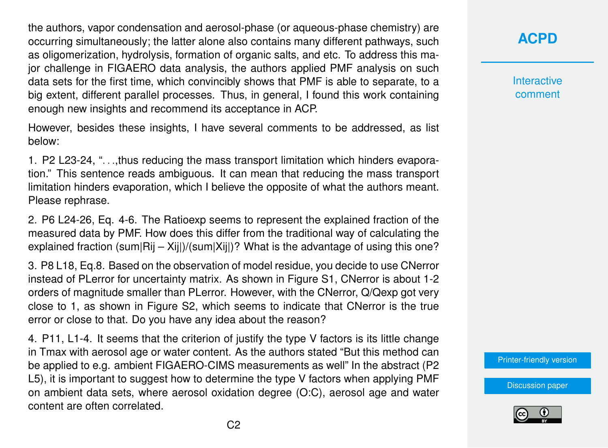the authors, vapor condensation and aerosol-phase (or aqueous-phase chemistry) are occurring simultaneously; the latter alone also contains many different pathways, such as oligomerization, hydrolysis, formation of organic salts, and etc. To address this major challenge in FIGAERO data analysis, the authors applied PMF analysis on such data sets for the first time, which convincibly shows that PMF is able to separate, to a big extent, different parallel processes. Thus, in general, I found this work containing enough new insights and recommend its acceptance in ACP.

However, besides these insights, I have several comments to be addressed, as list below:

1. P2 L23-24, ". . .,thus reducing the mass transport limitation which hinders evaporation." This sentence reads ambiguous. It can mean that reducing the mass transport limitation hinders evaporation, which I believe the opposite of what the authors meant. Please rephrase.

2. P6 L24-26, Eq. 4-6. The Ratioexp seems to represent the explained fraction of the measured data by PMF. How does this differ from the traditional way of calculating the explained fraction (sum|Rij – Xij|)/(sum|Xij|)? What is the advantage of using this one?

3. P8 L18, Eq.8. Based on the observation of model residue, you decide to use CNerror instead of PLerror for uncertainty matrix. As shown in Figure S1, CNerror is about 1-2 orders of magnitude smaller than PLerror. However, with the CNerror, Q/Qexp got very close to 1, as shown in Figure S2, which seems to indicate that CNerror is the true error or close to that. Do you have any idea about the reason?

4. P11, L1-4. It seems that the criterion of justify the type V factors is its little change in Tmax with aerosol age or water content. As the authors stated "But this method can be applied to e.g. ambient FIGAERO-CIMS measurements as well" In the abstract (P2 L5), it is important to suggest how to determine the type V factors when applying PMF on ambient data sets, where aerosol oxidation degree (O:C), aerosol age and water content are often correlated.

## **[ACPD](https://www.atmos-chem-phys-discuss.net/)**

**Interactive** comment

[Printer-friendly version](https://www.atmos-chem-phys-discuss.net/acp-2019-926/acp-2019-926-RC1-print.pdf)

[Discussion paper](https://www.atmos-chem-phys-discuss.net/acp-2019-926)